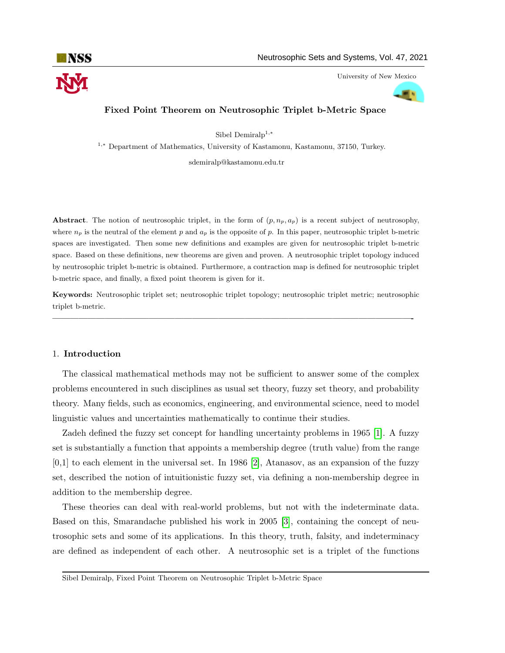

University of New Mexico



# Fixed Point Theorem on Neutrosophic Triplet b-Metric Space

Sibel Demiral $p^{1,*}$ 

<sup>1</sup>,<sup>∗</sup> Department of Mathematics, University of Kastamonu, Kastamonu, 37150, Turkey.

sdemiralp@kastamonu.edu.tr

Abstract. The notion of neutrosophic triplet, in the form of  $(p, n_p, a_p)$  is a recent subject of neutrosophy, where  $n_p$  is the neutral of the element p and  $a_p$  is the opposite of p. In this paper, neutrosophic triplet b-metric spaces are investigated. Then some new definitions and examples are given for neutrosophic triplet b-metric space. Based on these definitions, new theorems are given and proven. A neutrosophic triplet topology induced by neutrosophic triplet b-metric is obtained. Furthermore, a contraction map is defined for neutrosophic triplet b-metric space, and finally, a fixed point theorem is given for it.

Keywords: Neutrosophic triplet set; neutrosophic triplet topology; neutrosophic triplet metric; neutrosophic triplet b-metric.

—————————————————————————————————————————-

### 1. Introduction

The classical mathematical methods may not be sufficient to answer some of the complex problems encountered in such disciplines as usual set theory, fuzzy set theory, and probability theory. Many fields, such as economics, engineering, and environmental science, need to model linguistic values and uncertainties mathematically to continue their studies.

Zadeh defined the fuzzy set concept for handling uncertainty problems in 1965 [\[1\]](#page-11-0). A fuzzy set is substantially a function that appoints a membership degree (truth value) from the range  $[0,1]$  to each element in the universal set. In 1986 [\[2\]](#page-11-1), Atanasov, as an expansion of the fuzzy set, described the notion of intuitionistic fuzzy set, via defining a non-membership degree in addition to the membership degree.

These theories can deal with real-world problems, but not with the indeterminate data. Based on this, Smarandache published his work in 2005 [\[3\]](#page-11-2), containing the concept of neutrosophic sets and some of its applications. In this theory, truth, falsity, and indeterminacy are defined as independent of each other. A neutrosophic set is a triplet of the functions

Sibel Demiralp, Fixed Point Theorem on Neutrosophic Triplet b-Metric Space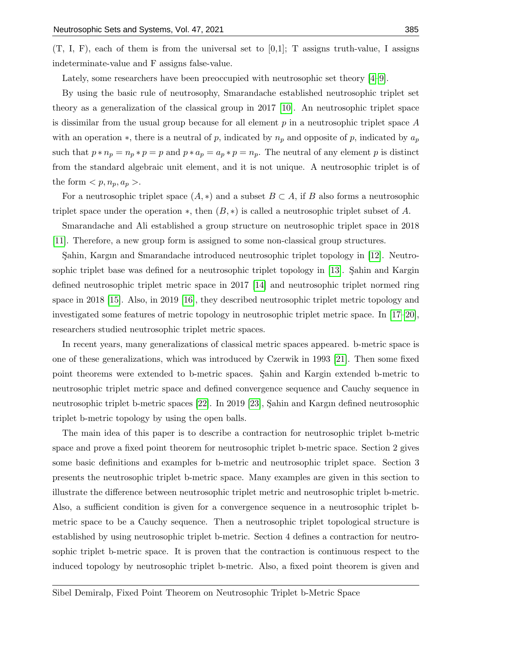$(T, I, F)$ , each of them is from the universal set to  $[0,1]$ ; T assigns truth-value, I assigns indeterminate-value and F assigns false-value.

Lately, some researchers have been preoccupied with neutrosophic set theory [\[4–](#page-11-3)[9\]](#page-12-0).

By using the basic rule of neutrosophy, Smarandache established neutrosophic triplet set theory as a generalization of the classical group in 2017 [\[10\]](#page-12-1). An neutrosophic triplet space is dissimilar from the usual group because for all element  $p$  in a neutrosophic triplet space  $A$ with an operation  $\ast$ , there is a neutral of p, indicated by  $n_p$  and opposite of p, indicated by  $a_p$ such that  $p * n_p = n_p * p = p$  and  $p * a_p = a_p * p = n_p$ . The neutral of any element p is distinct from the standard algebraic unit element, and it is not unique. A neutrosophic triplet is of the form  $$ .

For a neutrosophic triplet space  $(A, *)$  and a subset  $B \subset A$ , if B also forms a neutrosophic triplet space under the operation  $\ast$ , then  $(B, \ast)$  is called a neutrosophic triplet subset of A.

Smarandache and Ali established a group structure on neutrosophic triplet space in 2018 [\[11\]](#page-12-2). Therefore, a new group form is assigned to some non-classical group structures.

S¸ahin, Kargın and Smarandache introduced neutrosophic triplet topology in [\[12\]](#page-12-3). Neutrosophic triplet base was defined for a neutrosophic triplet topology in  $[13]$ . Sahin and Kargin defined neutrosophic triplet metric space in 2017 [\[14\]](#page-12-5) and neutrosophic triplet normed ring space in 2018 [\[15\]](#page-12-6). Also, in 2019 [\[16\]](#page-12-7), they described neutrosophic triplet metric topology and investigated some features of metric topology in neutrosophic triplet metric space. In [\[17–](#page-12-8)[20\]](#page-12-9), researchers studied neutrosophic triplet metric spaces.

In recent years, many generalizations of classical metric spaces appeared. b-metric space is one of these generalizations, which was introduced by Czerwik in 1993 [\[21\]](#page-12-10). Then some fixed point theorems were extended to b-metric spaces. Sahin and Kargin extended b-metric to neutrosophic triplet metric space and defined convergence sequence and Cauchy sequence in neutrosophic triplet b-metric spaces [\[22\]](#page-12-11). In 2019 [\[23\]](#page-12-12), Şahin and Kargın defined neutrosophic triplet b-metric topology by using the open balls.

The main idea of this paper is to describe a contraction for neutrosophic triplet b-metric space and prove a fixed point theorem for neutrosophic triplet b-metric space. Section 2 gives some basic definitions and examples for b-metric and neutrosophic triplet space. Section 3 presents the neutrosophic triplet b-metric space. Many examples are given in this section to illustrate the difference between neutrosophic triplet metric and neutrosophic triplet b-metric. Also, a sufficient condition is given for a convergence sequence in a neutrosophic triplet bmetric space to be a Cauchy sequence. Then a neutrosophic triplet topological structure is established by using neutrosophic triplet b-metric. Section 4 defines a contraction for neutrosophic triplet b-metric space. It is proven that the contraction is continuous respect to the induced topology by neutrosophic triplet b-metric. Also, a fixed point theorem is given and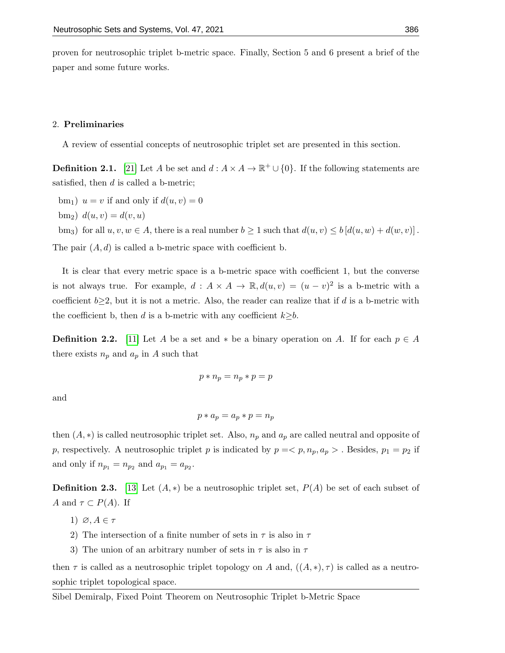proven for neutrosophic triplet b-metric space. Finally, Section 5 and 6 present a brief of the paper and some future works.

### 2. Preliminaries

A review of essential concepts of neutrosophic triplet set are presented in this section.

**Definition 2.1.** [\[21\]](#page-12-10) Let A be set and  $d : A \times A \to \mathbb{R}^+ \cup \{0\}$ . If the following statements are satisfied, then  $d$  is called a b-metric;

bm<sub>1</sub>)  $u = v$  if and only if  $d(u, v) = 0$ 

 $b_{m_2}$ )  $d(u, v) = d(v, u)$ 

bm<sub>3</sub>) for all  $u, v, w \in A$ , there is a real number  $b \ge 1$  such that  $d(u, v) \le b \left[ d(u, w) + d(w, v) \right]$ . The pair  $(A, d)$  is called a b-metric space with coefficient b.

It is clear that every metric space is a b-metric space with coefficient 1, but the converse is not always true. For example,  $d : A \times A \to \mathbb{R}, d(u, v) = (u - v)^2$  is a b-metric with a coefficient  $b\geq 2$ , but it is not a metric. Also, the reader can realize that if d is a b-metric with the coefficient b, then d is a b-metric with any coefficient  $k \geq b$ .

**Definition 2.2.** [\[11\]](#page-12-2) Let A be a set and  $*$  be a binary operation on A. If for each  $p \in A$ there exists  $n_p$  and  $a_p$  in A such that

$$
p * n_p = n_p * p = p
$$

and

$$
p * a_p = a_p * p = n_p
$$

then  $(A, *)$  is called neutrosophic triplet set. Also,  $n_p$  and  $a_p$  are called neutral and opposite of p, respectively. A neutrosophic triplet p is indicated by  $p = \langle p, n_p, a_p \rangle$ . Besides,  $p_1 = p_2$  if and only if  $n_{p_1} = n_{p_2}$  and  $a_{p_1} = a_{p_2}$ .

**Definition 2.3.** [\[13\]](#page-12-4) Let  $(A, *)$  be a neutrosophic triplet set,  $P(A)$  be set of each subset of A and  $\tau \subset P(A)$ . If

- 1)  $\varnothing, A \in \tau$
- 2) The intersection of a finite number of sets in  $\tau$  is also in  $\tau$
- 3) The union of an arbitrary number of sets in  $\tau$  is also in  $\tau$

then  $\tau$  is called as a neutrosophic triplet topology on A and,  $((A, *), \tau)$  is called as a neutrosophic triplet topological space.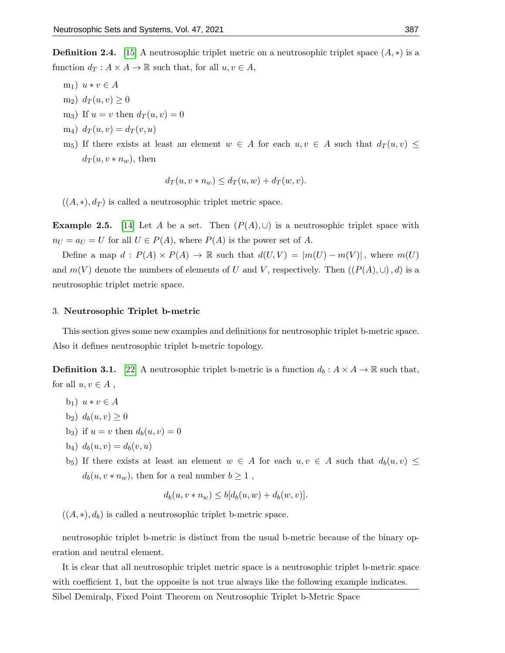**Definition 2.4.** [\[15\]](#page-12-6) A neutrosophic triplet metric on a neutrosophic triplet space  $(A, *)$  is a function  $d_T : A \times A \to \mathbb{R}$  such that, for all  $u, v \in A$ ,

- m<sub>1</sub>)  $u * v \in A$
- m<sub>2</sub>)  $d_T(u, v) \geq 0$
- m<sub>3</sub>) If  $u = v$  then  $d_T(u, v) = 0$
- $m_4) d_T(u, v) = d_T(v, u)$
- m<sub>5</sub>) If there exists at least an element  $w \in A$  for each  $u, v \in A$  such that  $d_T(u, v) \leq$  $d_T(u, v \ast n_w)$ , then

$$
d_T(u, v * n_w) \le d_T(u, w) + d_T(w, v).
$$

 $((A, *), d_T)$  is called a neutrosophic triplet metric space.

**Example 2.5.** [\[14\]](#page-12-5) Let A be a set. Then  $(P(A), \cup)$  is a neutrosophic triplet space with  $n_U = a_U = U$  for all  $U \in P(A)$ , where  $P(A)$  is the power set of A.

Define a map  $d : P(A) \times P(A) \to \mathbb{R}$  such that  $d(U, V) = |m(U) - m(V)|$ , where  $m(U)$ and  $m(V)$  denote the numbers of elements of U and V, respectively. Then  $((P(A), \cup), d)$  is a neutrosophic triplet metric space.

#### 3. Neutrosophic Triplet b-metric

This section gives some new examples and definitions for neutrosophic triplet b-metric space. Also it defines neutrosophic triplet b-metric topology.

**Definition 3.1.** [\[22\]](#page-12-11) A neutrosophic triplet b-metric is a function  $d_b: A \times A \rightarrow \mathbb{R}$  such that, for all  $u, v \in A$ ,

- b<sub>1</sub>)  $u * v \in A$
- b<sub>2</sub>)  $d_b(u, v) \ge 0$
- b<sub>3</sub>) if  $u = v$  then  $d_b(u, v) = 0$
- $b_4) d_b(u, v) = d_b(v, u)$
- $b_5$ ) If there exists at least an element  $w \in A$  for each  $u, v \in A$  such that  $d_b(u, v) \leq$  $d_b(u, v * n_w)$ , then for a real number  $b \geq 1$ ,

$$
d_b(u, v * n_w) \le b[d_b(u, w) + d_b(w, v)].
$$

 $((A, *), d_b)$  is called a neutrosophic triplet b-metric space.

neutrosophic triplet b-metric is distinct from the usual b-metric because of the binary operation and neutral element.

It is clear that all neutrosophic triplet metric space is a neutrosophic triplet b-metric space with coefficient 1, but the opposite is not true always like the following example indicates.

Sibel Demiralp, Fixed Point Theorem on Neutrosophic Triplet b-Metric Space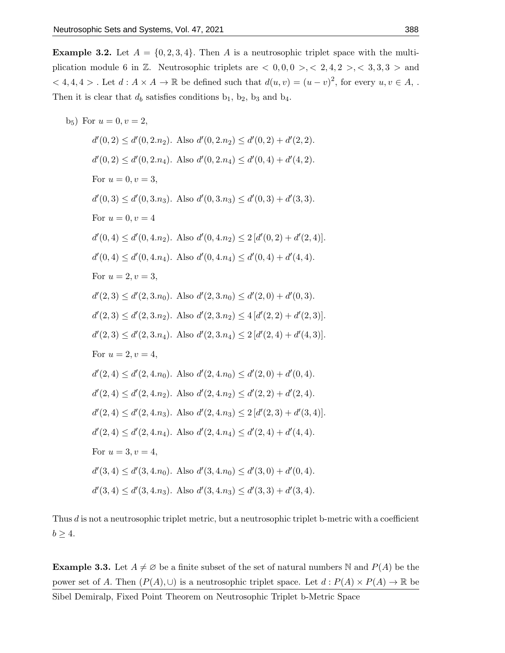**Example 3.2.** Let  $A = \{0, 2, 3, 4\}$ . Then A is a neutrosophic triplet space with the multiplication module 6 in Z. Neutrosophic triplets are  $\langle 0, 0, 0 \rangle$ ,  $\langle 2, 4, 2 \rangle$ ,  $\langle 3, 3, 3 \rangle$  and  $< 4, 4, 4 >$ . Let  $d : A \times A \to \mathbb{R}$  be defined such that  $d(u, v) = (u - v)^2$ , for every  $u, v \in A$ ,. Then it is clear that  $d_b$  satisfies conditions  $b_1$ ,  $b_2$ ,  $b_3$  and  $b_4$ .

 $b_5$ ) For  $u = 0, v = 2$ ,  $d'(0, 2) \le d'(0, 2.n_2)$ . Also  $d'(0, 2.n_2) \le d'(0, 2) + d'(2, 2)$ .  $d'(0, 2) \le d'(0, 2.n_4)$ . Also  $d'(0, 2.n_4) \le d'(0, 4) + d'(4, 2)$ . For  $u = 0, v = 3$ ,  $d'(0,3) \leq d'(0,3.n_3)$ . Also  $d'(0,3.n_3) \leq d'(0,3) + d'(3,3)$ . For  $u = 0, v = 4$  $d'(0, 4) \leq d'(0, 4.n_2)$ . Also  $d'(0, 4.n_2) \leq 2[d'(0, 2) + d'(2, 4)]$ .  $d'(0, 4) \leq d'(0, 4.n_4)$ . Also  $d'(0, 4.n_4) \leq d'(0, 4) + d'(4, 4)$ . For  $u = 2, v = 3$ ,  $d'(2,3) \leq d'(2,3.n_0)$ . Also  $d'(2,3.n_0) \leq d'(2,0) + d'(0,3)$ .  $d'(2,3) \leq d'(2,3.n_2)$ . Also  $d'(2,3.n_2) \leq 4[d'(2,2)+d'(2,3)]$ .  $d'(2,3) \leq d'(2,3.n_4)$ . Also  $d'(2,3.n_4) \leq 2[d'(2,4) + d'(4,3)]$ . For  $u = 2, v = 4$ ,  $d'(2, 4) \leq d'(2, 4 \cdot n_0)$ . Also  $d'(2, 4 \cdot n_0) \leq d'(2, 0) + d'(0, 4)$ .  $d'(2, 4) \leq d'(2, 4.n_2)$ . Also  $d'(2, 4.n_2) \leq d'(2, 2) + d'(2, 4)$ .  $d'(2,4) \leq d'(2,4.n_3)$ . Also  $d'(2,4.n_3) \leq 2[d'(2,3) + d'(3,4)].$  $d'(2, 4) \leq d'(2, 4 \cdot n_4)$ . Also  $d'(2, 4 \cdot n_4) \leq d'(2, 4) + d'(4, 4)$ . For  $u = 3, v = 4$ ,  $d'(3, 4) \leq d'(3, 4 \cdot n_0)$ . Also  $d'(3, 4 \cdot n_0) \leq d'(3, 0) + d'(0, 4)$ .  $d'(3, 4) \leq d'(3, 4 \cdot n_3)$ . Also  $d'(3, 4 \cdot n_3) \leq d'(3, 3) + d'(3, 4)$ .

Thus d is not a neutrosophic triplet metric, but a neutrosophic triplet b-metric with a coefficient  $b \geq 4$ .

**Example 3.3.** Let  $A \neq \emptyset$  be a finite subset of the set of natural numbers N and  $P(A)$  be the power set of A. Then  $(P(A), \cup)$  is a neutrosophic triplet space. Let  $d : P(A) \times P(A) \to \mathbb{R}$  be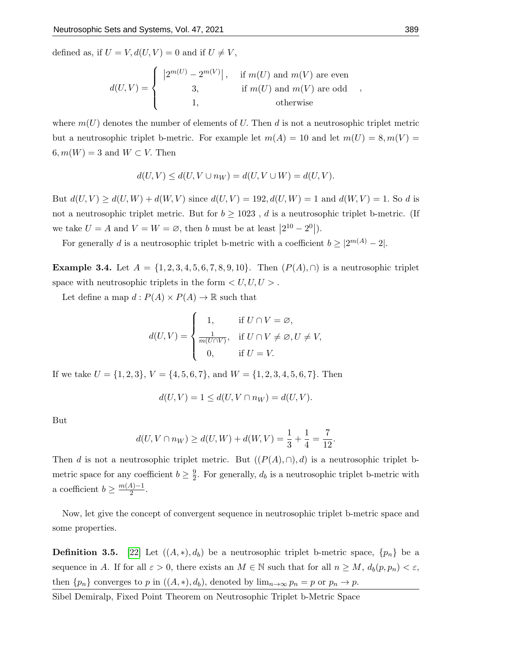defined as, if  $U = V, d(U, V) = 0$  and if  $U \neq V$ ,

$$
d(U,V) = \begin{cases} |2^{m(U)} - 2^{m(V)}|, & \text{if } m(U) \text{ and } m(V) \text{ are even} \\ 3, & \text{if } m(U) \text{ and } m(V) \text{ are odd} \\ 1, & \text{otherwise} \end{cases}
$$

where  $m(U)$  denotes the number of elements of U. Then d is not a neutrosophic triplet metric but a neutrosophic triplet b-metric. For example let  $m(A) = 10$  and let  $m(U) = 8, m(V) =$  $6, m(W) = 3$  and  $W \subset V$ . Then

$$
d(U,V)\leq d(U,V\cup n_W)=d(U,V\cup W)=d(U,V).
$$

But  $d(U, V) \ge d(U, W) + d(W, V)$  since  $d(U, V) = 192, d(U, W) = 1$  and  $d(W, V) = 1$ . So d is not a neutrosophic triplet metric. But for  $b \ge 1023$ , d is a neutrosophic triplet b-metric. (If we take  $U = A$  and  $V = W = \emptyset$ , then b must be at least  $\left|2^{10} - 2^0\right|$ .

For generally d is a neutrosophic triplet b-metric with a coefficient  $b \geq |2^{m(A)} - 2|$ .

**Example 3.4.** Let  $A = \{1, 2, 3, 4, 5, 6, 7, 8, 9, 10\}$ . Then  $(P(A), \cap)$  is a neutrosophic triplet space with neutrosophic triplets in the form  $\langle U, U, U \rangle$ .

Let define a map  $d: P(A) \times P(A) \to \mathbb{R}$  such that

$$
d(U,V) = \begin{cases} 1, & \text{if } U \cap V = \varnothing, \\ \frac{1}{m(U \cap V)}, & \text{if } U \cap V \neq \varnothing, U \neq V, \\ 0, & \text{if } U = V. \end{cases}
$$

If we take  $U = \{1, 2, 3\}, V = \{4, 5, 6, 7\}, \text{ and } W = \{1, 2, 3, 4, 5, 6, 7\}.$  Then

$$
d(U,V) = 1 \le d(U,V \cap n_W) = d(U,V).
$$

But

$$
d(U, V \cap n_W) \ge d(U, W) + d(W, V) = \frac{1}{3} + \frac{1}{4} = \frac{7}{12}
$$

Then d is not a neutrosophic triplet metric. But  $((P(A), \cap), d)$  is a neutrosophic triplet bmetric space for any coefficient  $b \geq \frac{9}{2}$  $\frac{9}{2}$ . For generally,  $d_b$  is a neutrosophic triplet b-metric with a coefficient  $b \geq \frac{m(A)-1}{2}$  $\frac{4j-1}{2}$ .

Now, let give the concept of convergent sequence in neutrosophic triplet b-metric space and some properties.

**Definition 3.5.** [\[22\]](#page-12-11) Let  $((A, *), d_b)$  be a neutrosophic triplet b-metric space,  $\{p_n\}$  be a sequence in A. If for all  $\varepsilon > 0$ , there exists an  $M \in \mathbb{N}$  such that for all  $n \geq M$ ,  $d_b(p, p_n) < \varepsilon$ , then  ${p_n}$  converges to p in  $((A, *), d_b)$ , denoted by  $\lim_{n\to\infty} p_n = p$  or  $p_n \to p$ .

Sibel Demiralp, Fixed Point Theorem on Neutrosophic Triplet b-Metric Space

,

.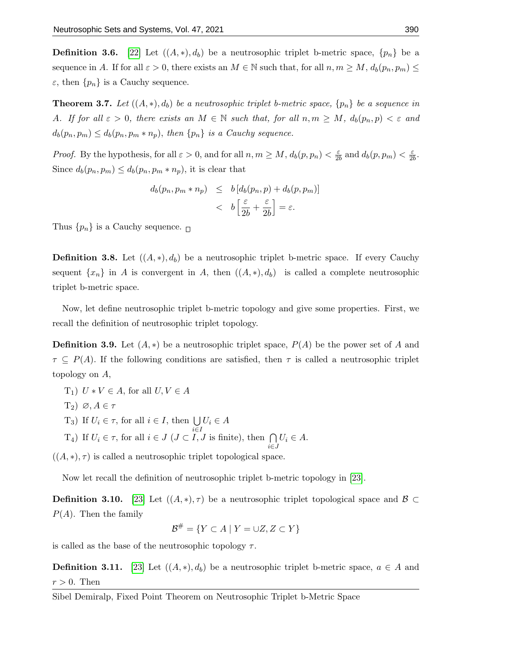**Definition 3.6.** [\[22\]](#page-12-11) Let  $((A, *), d_b)$  be a neutrosophic triplet b-metric space,  $\{p_n\}$  be a sequence in A. If for all  $\varepsilon > 0$ , there exists an  $M \in \mathbb{N}$  such that, for all  $n, m \geq M$ ,  $d_b(p_n, p_m) \leq$  $\varepsilon$ , then  $\{p_n\}$  is a Cauchy sequence.

**Theorem 3.7.** Let  $((A, *), d_b)$  be a neutrosophic triplet b-metric space,  $\{p_n\}$  be a sequence in A. If for all  $\varepsilon > 0$ , there exists an  $M \in \mathbb{N}$  such that, for all  $n, m \ge M$ ,  $d_b(p_n, p) < \varepsilon$  and  $d_b(p_n, p_m) \leq d_b(p_n, p_m * n_p)$ , then  $\{p_n\}$  is a Cauchy sequence.

*Proof.* By the hypothesis, for all  $\varepsilon > 0$ , and for all  $n, m \ge M$ ,  $d_b(p, p_n) < \frac{\varepsilon}{2l}$  $\frac{\varepsilon}{2b}$  and  $d_b(p, p_m) < \frac{\varepsilon}{2b}$  $\frac{\varepsilon}{2b}$ . Since  $d_b(p_n, p_m) \leq d_b(p_n, p_m * n_p)$ , it is clear that

$$
d_b(p_n, p_m * n_p) \leq b [d_b(p_n, p) + d_b(p, p_m)]
$$
  

$$
< b \left[ \frac{\varepsilon}{2b} + \frac{\varepsilon}{2b} \right] = \varepsilon.
$$

Thus  $\{p_n\}$  is a Cauchy sequence.  $\Box$ 

**Definition 3.8.** Let  $((A, *), d_b)$  be a neutrosophic triplet b-metric space. If every Cauchy sequent  $\{x_n\}$  in A is convergent in A, then  $((A, *), d_b)$  is called a complete neutrosophic triplet b-metric space.

Now, let define neutrosophic triplet b-metric topology and give some properties. First, we recall the definition of neutrosophic triplet topology.

**Definition 3.9.** Let  $(A, *)$  be a neutrosophic triplet space,  $P(A)$  be the power set of A and  $\tau \subseteq P(A)$ . If the following conditions are satisfied, then  $\tau$  is called a neutrosophic triplet topology on A,

T<sub>1</sub>)  $U * V \in A$ , for all  $U, V \in A$  $T_2)$   $\varnothing, A \in \tau$ T<sub>3</sub>) If  $U_i \in \tau$ , for all  $i \in I$ , then  $\bigcup$ i∈I  $U_i \in A$ T<sub>4</sub>) If  $U_i \in \tau$ , for all  $i \in J$  ( $J \subset I$ ,  $J$  is finite), then  $\bigcap$ i∈J  $U_i \in A$ .

 $((A, *), \tau)$  is called a neutrosophic triplet topological space.

Now let recall the definition of neutrosophic triplet b-metric topology in [\[23\]](#page-12-12).

**Definition 3.10.** [\[23\]](#page-12-12) Let  $((A, \ast), \tau)$  be a neutrosophic triplet topological space and  $\mathcal{B} \subset$  $P(A)$ . Then the family

$$
\mathcal{B}^{\#} = \{ Y \subset A \mid Y = \cup Z, Z \subset Y \}
$$

is called as the base of the neutrosophic topology  $\tau$ .

**Definition 3.11.** [\[23\]](#page-12-12) Let  $((A, *), d_b)$  be a neutrosophic triplet b-metric space,  $a \in A$  and  $r > 0$ . Then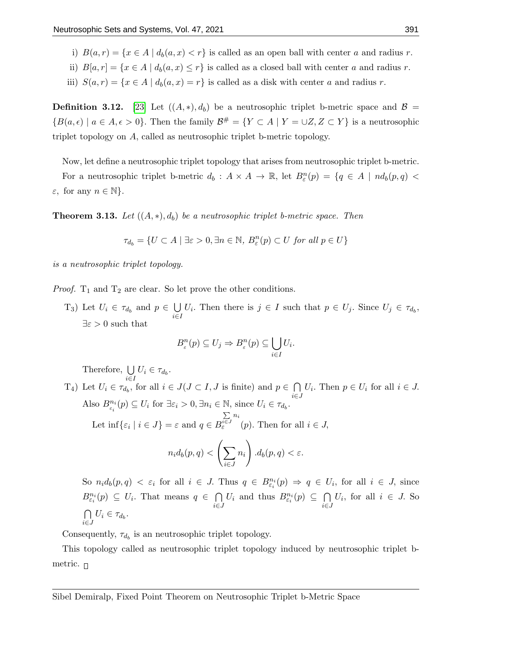- i)  $B(a,r) = \{x \in A \mid d_b(a,x) < r\}$  is called as an open ball with center a and radius r.
- ii)  $B[a, r] = \{x \in A \mid d_b(a, x) \leq r\}$  is called as a closed ball with center a and radius r.
- iii)  $S(a,r) = \{x \in A \mid d_b(a,x) = r\}$  is called as a disk with center a and radius r.

**Definition 3.12.** [\[23\]](#page-12-12) Let  $((A, *,), d_b)$  be a neutrosophic triplet b-metric space and  $\mathcal{B} =$  ${B(a, \epsilon) \mid a \in A, \epsilon > 0}.$  Then the family  $\mathcal{B}^{\#} = {Y \subset A \mid Y = \cup Z, Z \subset Y}$  is a neutrosophic triplet topology on A, called as neutrosophic triplet b-metric topology.

Now, let define a neutrosophic triplet topology that arises from neutrosophic triplet b-metric.

For a neutrosophic triplet b-metric  $d_b: A \times A \to \mathbb{R}$ , let  $B_{\varepsilon}^n(p) = \{q \in A \mid nd_b(p,q)$  $\varepsilon$ , for any  $n \in \mathbb{N}$ .

**Theorem 3.13.** Let  $((A, *), d_b)$  be a neutrosophic triplet b-metric space. Then

$$
\tau_{d_b} = \{ U \subset A \mid \exists \varepsilon > 0, \exists n \in \mathbb{N}, \ B_{\varepsilon}^n(p) \subset U \text{ for all } p \in U \}
$$

is a neutrosophic triplet topology.

*Proof.*  $T_1$  and  $T_2$  are clear. So let prove the other conditions.

T<sub>3</sub>) Let  $U_i \in \tau_{d_b}$  and  $p \in \bigcup$ i∈I  $U_i$ . Then there is  $j \in I$  such that  $p \in U_j$ . Since  $U_j \in \tau_{d_b}$ ,  $\exists \varepsilon > 0$  such that

$$
B_{\varepsilon}^{n}(p) \subseteq U_{j} \Rightarrow B_{\varepsilon}^{n}(p) \subseteq \bigcup_{i \in I} U_{i}.
$$

Therefore,  $\bigcup$  $\bigcup_{i\in I} U_i \in \tau_{d_b}.$ 

T<sub>4</sub>) Let  $U_i \in \tau_{d_b}$ , for all  $i \in J$  ( $J \subset I$ ,  $J$  is finite) and  $p \in \bigcap U_i$ . Then  $p \in U_i$  for all  $i \in J$ . Also  $B_{\varepsilon_i}^{n_i}(p) \subseteq U_i$  for  $\exists \varepsilon_i > 0, \exists n_i \in \mathbb{N}$ , since  $U_i \in \tau_{d_b}$ . Let  $\inf\{\varepsilon_i \mid i \in J\} = \varepsilon$  and  $q \in B$  $\sum_{i\in J} n_i$  $\epsilon^{i\in J}$  (p). Then for all  $i \in J$ ,  $n_id_b(p,q)< \Big(\sum$ i∈J  $n_i$  $\setminus$  $d_b(p,q) < \varepsilon.$ 

So  $n_i d_b(p,q) < \varepsilon_i$  for all  $i \in J$ . Thus  $q \in B_{\varepsilon_i}^{n_i}(p) \Rightarrow q \in U_i$ , for all  $i \in J$ , since  $B_{\varepsilon_i}^{n_i}(p) \subseteq U_i$ . That means  $q \in \bigcap$ i∈J  $U_i$  and thus  $B_{\varepsilon_i}^{n_i}(p) \subseteq \bigcap$ i∈J  $U_i$ , for all  $i \in J$ . So  $\cap$  $\bigcap_{i\in J} U_i \in \tau_{d_b}.$ 

Consequently,  $\tau_{d_b}$  is an neutrosophic triplet topology.

This topology called as neutrosophic triplet topology induced by neutrosophic triplet bmetric.  $\Box$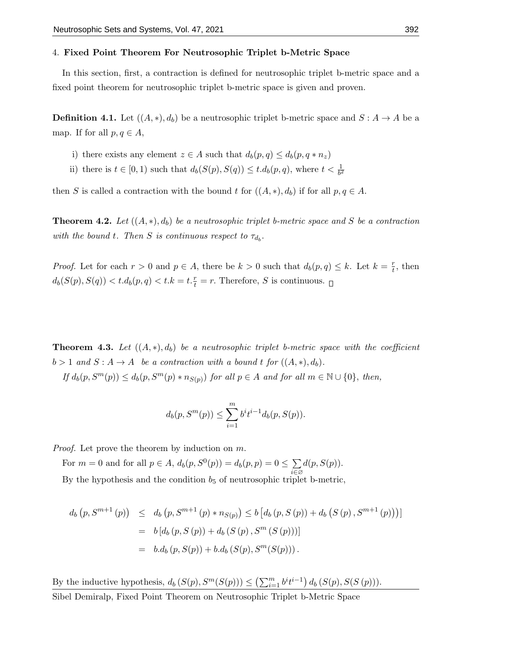#### 4. Fixed Point Theorem For Neutrosophic Triplet b-Metric Space

In this section, first, a contraction is defined for neutrosophic triplet b-metric space and a fixed point theorem for neutrosophic triplet b-metric space is given and proven.

**Definition 4.1.** Let  $((A, *), d_b)$  be a neutrosophic triplet b-metric space and  $S : A \rightarrow A$  be a map. If for all  $p, q \in A$ ,

- i) there exists any element  $z \in A$  such that  $d_b(p,q) \leq d_b(p,q*n_z)$
- ii) there is  $t \in [0, 1)$  such that  $d_b(S(p), S(q)) \leq t \cdot d_b(p, q)$ , where  $t < \frac{1}{b^2}$

then S is called a contraction with the bound t for  $((A, *,), d_b)$  if for all  $p, q \in A$ .

**Theorem 4.2.** Let  $((A, *), d_b)$  be a neutrosophic triplet b-metric space and S be a contraction with the bound t. Then S is continuous respect to  $\tau_{d_b}$ .

*Proof.* Let for each  $r > 0$  and  $p \in A$ , there be  $k > 0$  such that  $d_b(p,q) \leq k$ . Let  $k = \frac{r}{t}$  $\frac{r}{t}$ , then  $d_b(S(p), S(q)) < t.d_b(p, q) < t.k = t.\frac{r}{t} = r.$  Therefore, S is continuous.

<span id="page-8-0"></span>**Theorem 4.3.** Let  $((A, *), d_b)$  be a neutrosophic triplet b-metric space with the coefficient  $b > 1$  and  $S : A \to A$  be a contraction with a bound t for  $((A, *), d_b)$ .

If  $d_b(p, S^m(p)) \leq d_b(p, S^m(p) * n_{S(p)})$  for all  $p \in A$  and for all  $m \in \mathbb{N} \cup \{0\}$ , then,

$$
d_b(p, S^m(p)) \le \sum_{i=1}^m b^i t^{i-1} d_b(p, S(p)).
$$

Proof. Let prove the theorem by induction on m.

For  $m = 0$  and for all  $p \in A$ ,  $d_b(p, S^0(p)) = d_b(p, p) = 0 \le \sum$ i∈∅  $d(p, S(p))$ . By the hypothesis and the condition  $b_5$  of neutrosophic triplet b-metric,

$$
d_b(p, S^{m+1}(p)) \leq d_b(p, S^{m+1}(p) * n_{S(p)}) \leq b [d_b(p, S(p)) + d_b(S(p), S^{m+1}(p))]
$$
  
=  $b [d_b(p, S(p)) + d_b(S(p), S^m(S(p)))]$   
=  $b.d_b(p, S(p)) + b.d_b(S(p), S^m(S(p))).$ 

By the inductive hypothesis,  $d_b(S(p), S^m(S(p))) \leq (\sum_{i=1}^m b^i t^{i-1}) d_b(S(p), S(S(p))).$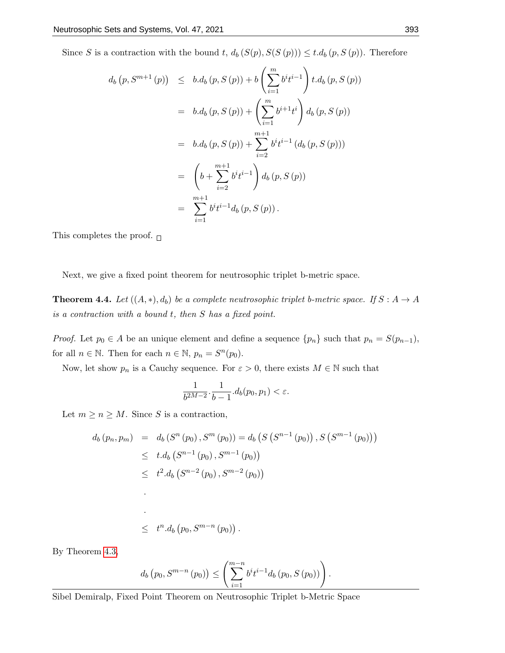Since S is a contraction with the bound t,  $d_b(S(p), S(S(p))) \leq t \cdot d_b(p, S(p))$ . Therefore

$$
d_b(p, S^{m+1}(p)) \leq b.d_b(p, S(p)) + b\left(\sum_{i=1}^m b^i t^{i-1}\right) t.d_b(p, S(p))
$$
  
=  $b.d_b(p, S(p)) + \left(\sum_{i=1}^m b^{i+1} t^i\right) d_b(p, S(p))$   
=  $b.d_b(p, S(p)) + \sum_{i=2}^{m+1} b^i t^{i-1} (d_b(p, S(p)))$   
=  $\left(b + \sum_{i=2}^{m+1} b^i t^{i-1}\right) d_b(p, S(p))$   
=  $\sum_{i=1}^{m+1} b^i t^{i-1} d_b(p, S(p)).$ 

This completes the proof.  $\Box$ 

Next, we give a fixed point theorem for neutrosophic triplet b-metric space.

**Theorem 4.4.** Let  $((A, *), d_b)$  be a complete neutrosophic triplet b-metric space. If  $S : A \rightarrow A$ is a contraction with a bound t, then S has a fixed point.

*Proof.* Let  $p_0 \in A$  be an unique element and define a sequence  $\{p_n\}$  such that  $p_n = S(p_{n-1}),$ for all  $n \in \mathbb{N}$ . Then for each  $n \in \mathbb{N}$ ,  $p_n = S^n(p_0)$ .

Now, let show  $p_n$  is a Cauchy sequence. For  $\varepsilon > 0$ , there exists  $M \in \mathbb{N}$  such that

$$
\frac{1}{b^{2M-2}} \cdot \frac{1}{b-1} . d_b(p_0, p_1) < \varepsilon.
$$

Let  $m \geq n \geq M$ . Since S is a contraction,

$$
d_b(p_n, p_m) = d_b(S^n(p_0), S^m(p_0)) = d_b(S(S^{n-1}(p_0)), S(S^{m-1}(p_0)))
$$
  
\n
$$
\leq t \cdot d_b(S^{n-1}(p_0), S^{m-1}(p_0))
$$
  
\n
$$
\leq t^2 \cdot d_b(S^{n-2}(p_0), S^{m-2}(p_0))
$$
  
\n
$$
\leq t^n \cdot d_b(p_0, S^{m-n}(p_0)).
$$

By Theorem [4.3,](#page-8-0)

$$
d_b(p_0, S^{m-n}(p_0)) \leq \left(\sum_{i=1}^{m-n} b^i t^{i-1} d_b(p_0, S(p_0))\right).
$$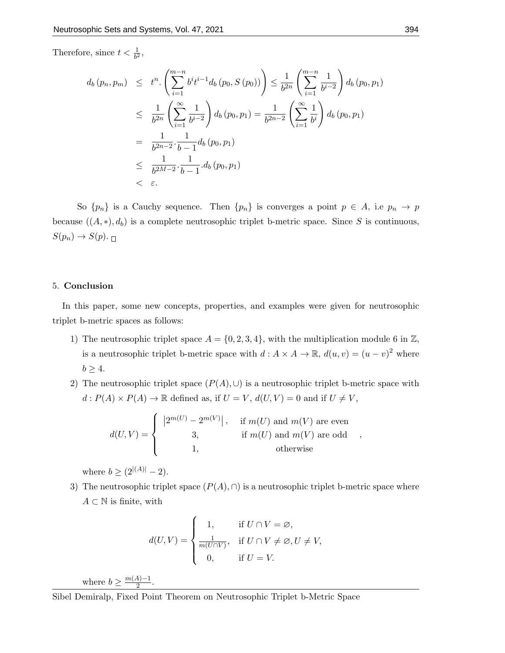Therefore, since  $t < \frac{1}{b^2}$ ,

$$
d_b(p_n, p_m) \leq t^n \cdot \left( \sum_{i=1}^{m-n} b^i t^{i-1} d_b(p_0, S(p_0)) \right) \leq \frac{1}{b^{2n}} \left( \sum_{i=1}^{m-n} \frac{1}{b^{i-2}} \right) d_b(p_0, p_1)
$$
  
\n
$$
\leq \frac{1}{b^{2n}} \left( \sum_{i=1}^{\infty} \frac{1}{b^{i-2}} \right) d_b(p_0, p_1) = \frac{1}{b^{2n-2}} \left( \sum_{i=1}^{\infty} \frac{1}{b^i} \right) d_b(p_0, p_1)
$$
  
\n
$$
= \frac{1}{b^{2n-2}} \cdot \frac{1}{b-1} d_b(p_0, p_1)
$$
  
\n
$$
\leq \frac{1}{b^{2M-2}} \cdot \frac{1}{b-1} d_b(p_0, p_1)
$$
  
\n
$$
< \varepsilon.
$$

So  ${p_n}$  is a Cauchy sequence. Then  ${p_n}$  is converges a point  $p \in A$ , i.e  $p_n \to p$ because  $((A, *), d_b)$  is a complete neutrosophic triplet b-metric space. Since S is continuous,  $S(p_n) \to S(p)$ .

## 5. Conclusion

In this paper, some new concepts, properties, and examples were given for neutrosophic triplet b-metric spaces as follows:

- 1) The neutrosophic triplet space  $A = \{0, 2, 3, 4\}$ , with the multiplication module 6 in  $\mathbb{Z}$ , is a neutrosophic triplet b-metric space with  $d: A \times A \to \mathbb{R}$ ,  $d(u, v) = (u - v)^2$  where  $b \geq 4$ .
- 2) The neutrosophic triplet space  $(P(A), \cup)$  is a neutrosophic triplet b-metric space with  $d: P(A) \times P(A) \rightarrow \mathbb{R}$  defined as, if  $U = V,$   $d(U,V) = 0$  and if  $U \neq V,$

$$
d(U,V) = \begin{cases} |2^{m(U)} - 2^{m(V)}|, & \text{if } m(U) \text{ and } m(V) \text{ are even} \\ 3, & \text{if } m(U) \text{ and } m(V) \text{ are odd} \\ 1, & \text{otherwise} \end{cases}
$$

where  $b \geq (2^{|(A)|} - 2)$ .

3) The neutrosophic triplet space  $(P(A), \cap)$  is a neutrosophic triplet b-metric space where  $A \subset \mathbb{N}$  is finite, with

$$
d(U,V) = \begin{cases} 1, & \text{if } U \cap V = \varnothing, \\ \frac{1}{m(U \cap V)}, & \text{if } U \cap V \neq \varnothing, U \neq V, \\ 0, & \text{if } U = V. \end{cases}
$$

where  $b \geq \frac{m(A)-1}{2}$  $\frac{4j-1}{2}$ .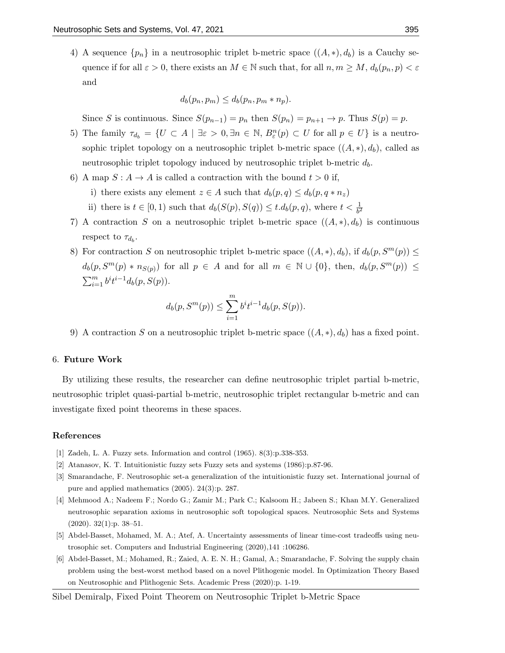4) A sequence  $\{p_n\}$  in a neutrosophic triplet b-metric space  $((A, *), d_b)$  is a Cauchy sequence if for all  $\varepsilon > 0$ , there exists an  $M \in \mathbb{N}$  such that, for all  $n, m \geq M$ ,  $d_b(p_n, p) < \varepsilon$ and

$$
d_b(p_n, p_m) \leq d_b(p_n, p_m * n_p).
$$

Since S is continuous. Since  $S(p_{n-1}) = p_n$  then  $S(p_n) = p_{n+1} \rightarrow p$ . Thus  $S(p) = p$ .

- 5) The family  $\tau_{d_b} = \{U \subset A \mid \exists \varepsilon > 0, \exists n \in \mathbb{N}, B_{\varepsilon}^n(p) \subset U \text{ for all } p \in U\}$  is a neutrosophic triplet topology on a neutrosophic triplet b-metric space  $((A, *), d_b)$ , called as neutrosophic triplet topology induced by neutrosophic triplet b-metric  $d_b$ .
- 6) A map  $S: A \to A$  is called a contraction with the bound  $t > 0$  if,
	- i) there exists any element  $z \in A$  such that  $d_b(p,q) \leq d_b(p,q*n_z)$
	- ii) there is  $t \in [0, 1)$  such that  $d_b(S(p), S(q)) \leq t \cdot d_b(p, q)$ , where  $t < \frac{1}{b^2}$
- 7) A contraction S on a neutrosophic triplet b-metric space  $((A, *), d_b)$  is continuous respect to  $\tau_{d_b}$ .
- 8) For contraction S on neutrosophic triplet b-metric space  $((A, *), d_b)$ , if  $d_b(p, S^m(p)) \le$  $d_b(p, S^m(p) * n_{S(p)})$  for all  $p \in A$  and for all  $m \in \mathbb{N} \cup \{0\}$ , then,  $d_b(p, S^m(p)) \le$  $\sum_{i=1}^{m} b^{i} t^{i-1} d_b(p, S(p)).$

$$
d_b(p, S^m(p)) \le \sum_{i=1}^m b^i t^{i-1} d_b(p, S(p)).
$$

9) A contraction S on a neutrosophic triplet b-metric space  $((A, *), d_b)$  has a fixed point.

### 6. Future Work

By utilizing these results, the researcher can define neutrosophic triplet partial b-metric, neutrosophic triplet quasi-partial b-metric, neutrosophic triplet rectangular b-metric and can investigate fixed point theorems in these spaces.

#### References

- <span id="page-11-0"></span>[1] Zadeh, L. A. Fuzzy sets. Information and control (1965). 8(3):p.338-353.
- <span id="page-11-1"></span>[2] Atanasov, K. T. Intuitionistic fuzzy sets Fuzzy sets and systems (1986):p.87-96.
- <span id="page-11-2"></span>[3] Smarandache, F. Neutrosophic set-a generalization of the intuitionistic fuzzy set. International journal of pure and applied mathematics (2005). 24(3):p. 287.
- <span id="page-11-3"></span>[4] Mehmood A.; Nadeem F.; Nordo G.; Zamir M.; Park C.; Kalsoom H.; Jabeen S.; Khan M.Y. Generalized neutrosophic separation axioms in neutrosophic soft topological spaces. Neutrosophic Sets and Systems  $(2020)$ . 32 $(1)$ : p. 38–51.
- [5] Abdel-Basset, Mohamed, M. A.; Atef, A. Uncertainty assessments of linear time-cost tradeoffs using neutrosophic set. Computers and Industrial Engineering (2020),141 :106286.
- [6] Abdel-Basset, M.; Mohamed, R.; Zaied, A. E. N. H.; Gamal, A.; Smarandache, F. Solving the supply chain problem using the best-worst method based on a novel Plithogenic model. In Optimization Theory Based on Neutrosophic and Plithogenic Sets. Academic Press (2020):p. 1-19.